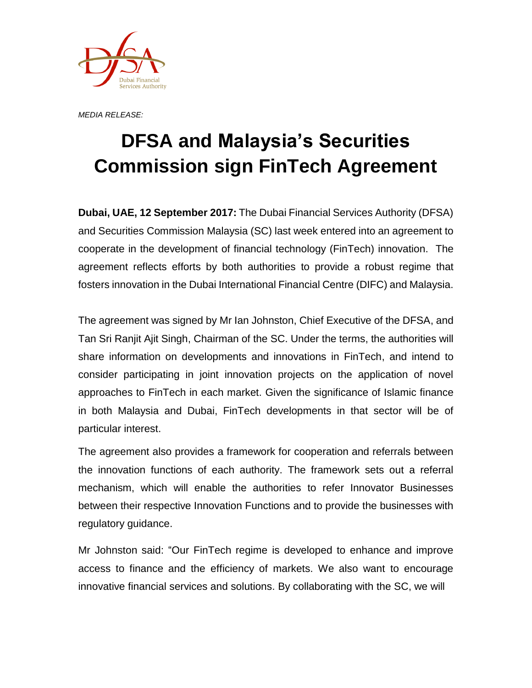

*MEDIA RELEASE:*

## **DFSA and Malaysia's Securities Commission sign FinTech Agreement**

**Dubai, UAE, 12 September 2017:** The Dubai Financial Services Authority (DFSA) and Securities Commission Malaysia (SC) last week entered into an agreement to cooperate in the development of financial technology (FinTech) innovation. The agreement reflects efforts by both authorities to provide a robust regime that fosters innovation in the Dubai International Financial Centre (DIFC) and Malaysia.

The agreement was signed by Mr Ian Johnston, Chief Executive of the DFSA, and Tan Sri Ranjit Ajit Singh, Chairman of the SC. Under the terms, the authorities will share information on developments and innovations in FinTech, and intend to consider participating in joint innovation projects on the application of novel approaches to FinTech in each market. Given the significance of Islamic finance in both Malaysia and Dubai, FinTech developments in that sector will be of particular interest.

The agreement also provides a framework for cooperation and referrals between the innovation functions of each authority. The framework sets out a referral mechanism, which will enable the authorities to refer Innovator Businesses between their respective Innovation Functions and to provide the businesses with regulatory guidance.

Mr Johnston said: "Our FinTech regime is developed to enhance and improve access to finance and the efficiency of markets. We also want to encourage innovative financial services and solutions. By collaborating with the SC, we will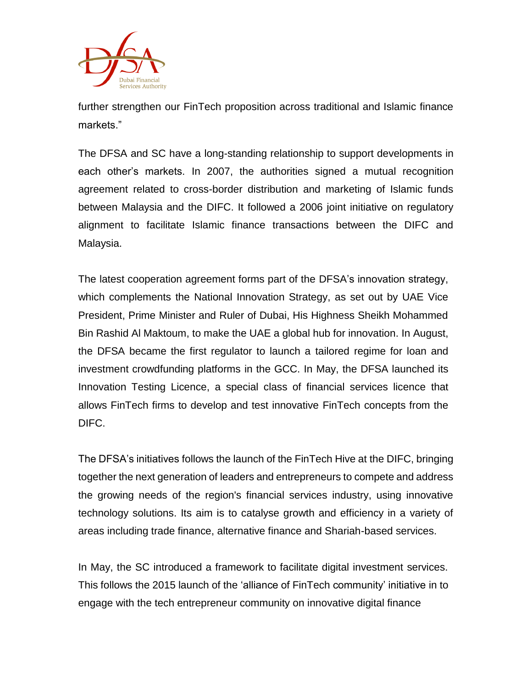

further strengthen our FinTech proposition across traditional and Islamic finance markets."

The DFSA and SC have a long-standing relationship to support developments in each other's markets. In 2007, the authorities signed a mutual recognition agreement related to cross-border distribution and marketing of Islamic funds between Malaysia and the DIFC. It followed a 2006 joint initiative on regulatory alignment to facilitate Islamic finance transactions between the DIFC and Malaysia.

The latest cooperation agreement forms part of the DFSA's innovation strategy, which complements the National Innovation Strategy, as set out by UAE Vice President, Prime Minister and Ruler of Dubai, His Highness Sheikh Mohammed Bin Rashid Al Maktoum, to make the UAE a global hub for innovation. In August, the DFSA became the first regulator to launch a tailored regime for loan and investment crowdfunding platforms in the GCC. In May, the DFSA launched its Innovation Testing Licence, a special class of financial services licence that allows FinTech firms to develop and test innovative FinTech concepts from the DIFC.

The DFSA's initiatives follows the launch of the FinTech Hive at the DIFC, bringing together the next generation of leaders and entrepreneurs to compete and address the growing needs of the region's financial services industry, using innovative technology solutions. Its aim is to catalyse growth and efficiency in a variety of areas including trade finance, alternative finance and Shariah-based services.

In May, the SC introduced a framework to facilitate digital investment services. This follows the 2015 launch of the 'alliance of FinTech community' initiative in to engage with the tech entrepreneur community on innovative digital finance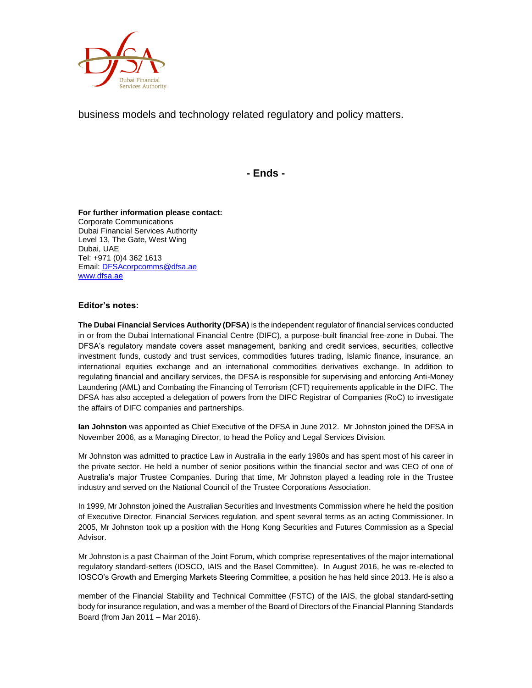

business models and technology related regulatory and policy matters.

**- Ends -**

**For further information please contact:** Corporate Communications Dubai Financial Services Authority Level 13, The Gate, West Wing Dubai, UAE Tel: +971 (0)4 362 1613 Email[: DFSAcorpcomms@dfsa.ae](mailto:DFSAcorpcomms@dfsa.ae) [www.dfsa.ae](http://www.dfsa.ae/)

## **Editor's notes:**

**The Dubai Financial Services Authority (DFSA)** is the independent regulator of financial services conducted in or from the Dubai International Financial Centre (DIFC), a purpose-built financial free-zone in Dubai. The DFSA's regulatory mandate covers asset management, banking and credit services, securities, collective investment funds, custody and trust services, commodities futures trading, Islamic finance, insurance, an international equities exchange and an international commodities derivatives exchange. In addition to regulating financial and ancillary services, the DFSA is responsible for supervising and enforcing Anti-Money Laundering (AML) and Combating the Financing of Terrorism (CFT) requirements applicable in the DIFC. The DFSA has also accepted a delegation of powers from the DIFC Registrar of Companies (RoC) to investigate the affairs of DIFC companies and partnerships.

**Ian Johnston** was appointed as Chief Executive of the DFSA in June 2012. Mr Johnston joined the DFSA in November 2006, as a Managing Director, to head the Policy and Legal Services Division.

Mr Johnston was admitted to practice Law in Australia in the early 1980s and has spent most of his career in the private sector. He held a number of senior positions within the financial sector and was CEO of one of Australia's major Trustee Companies. During that time, Mr Johnston played a leading role in the Trustee industry and served on the National Council of the Trustee Corporations Association.

In 1999, Mr Johnston joined the Australian Securities and Investments Commission where he held the position of Executive Director, Financial Services regulation, and spent several terms as an acting Commissioner. In 2005, Mr Johnston took up a position with the Hong Kong Securities and Futures Commission as a Special Advisor.

Mr Johnston is a past Chairman of the Joint Forum, which comprise representatives of the major international regulatory standard-setters (IOSCO, IAIS and the Basel Committee). In August 2016, he was re-elected to IOSCO's Growth and Emerging Markets Steering Committee, a position he has held since 2013. He is also a

member of the Financial Stability and Technical Committee (FSTC) of the IAIS, the global standard-setting body for insurance regulation, and was a member of the Board of Directors of the Financial Planning Standards Board (from Jan 2011 – Mar 2016).